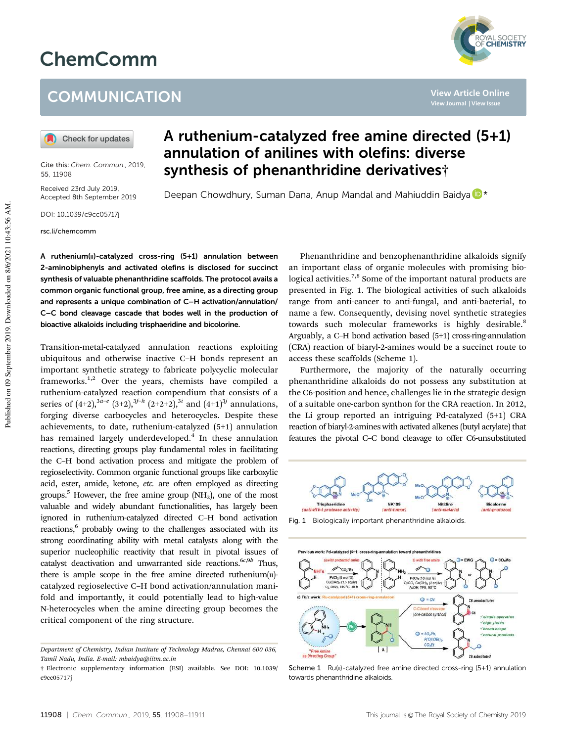## ChemComm

## **COMMUNICATION**

Check for updates

Cite this: *Chem. Commun.,* 2019, 55, 11908

Received 23rd July 2019, Accepted 8th September 2019

DOI: 10.1039/c9cc05717j

rsc.li/chemcomm

A ruthenium-catalyzed free amine directed (5+1) annulation of anilines with olefins: diverse synthesis of phenanthridine derivatives†

Deepan Chowdhury, Suman Dana, Anup Mandal and Mahiuddin Baidya D<sup>\*</sup>

A ruthenium( $II$ )-catalyzed cross-ring  $(5+1)$  annulation between 2-aminobiphenyls and activated olefins is disclosed for succinct synthesis of valuable phenanthridine scaffolds. The protocol avails a common organic functional group, free amine, as a directing group and represents a unique combination of C–H activation/annulation/ C–C bond cleavage cascade that bodes well in the production of bioactive alkaloids including trisphaeridine and bicolorine.

Transition-metal-catalyzed annulation reactions exploiting ubiquitous and otherwise inactive C–H bonds represent an important synthetic strategy to fabricate polycyclic molecular frameworks.<sup>1,2</sup> Over the years, chemists have compiled a ruthenium-catalyzed reaction compendium that consists of a series of  $(4+2)$ ,  $3a-e$   $(3+2)$ ,  $3f-h$   $(2+2+2)$ ,  $3i$  and  $(4+1)$  $3j$  annulations, forging diverse carbocycles and heterocycles. Despite these achievements, to date, ruthenium-catalyzed (5+1) annulation has remained largely underdeveloped.<sup>4</sup> In these annulation reactions, directing groups play fundamental roles in facilitating the C–H bond activation process and mitigate the problem of regioselectivity. Common organic functional groups like carboxylic acid, ester, amide, ketone, *etc.* are often employed as directing groups.<sup>5</sup> However, the free amine group  $(NH_2)$ , one of the most valuable and widely abundant functionalities, has largely been ignored in ruthenium-catalyzed directed C–H bond activation reactions,<sup>6</sup> probably owing to the challenges associated with its strong coordinating ability with metal catalysts along with the superior nucleophilic reactivity that result in pivotal issues of catalyst deactivation and unwarranted side reactions.<sup>6c,9b</sup> Thus, there is ample scope in the free amine directed ruthenium $(n)$ catalyzed regioselective C–H bond activation/annulation manifold and importantly, it could potentially lead to high-value N-heterocycles when the amine directing group becomes the critical component of the ring structure.

Phenanthridine and benzophenanthridine alkaloids signify an important class of organic molecules with promising biological activities.<sup>7,8</sup> Some of the important natural products are presented in Fig. 1. The biological activities of such alkaloids range from anti-cancer to anti-fungal, and anti-bacterial, to name a few. Consequently, devising novel synthetic strategies towards such molecular frameworks is highly desirable.<sup>8</sup> Arguably, a C–H bond activation based (5+1) cross-ring-annulation (CRA) reaction of biaryl-2-amines would be a succinct route to access these scaffolds (Scheme 1).

Furthermore, the majority of the naturally occurring phenanthridine alkaloids do not possess any substitution at the C6-position and hence, challenges lie in the strategic design of a suitable one-carbon synthon for the CRA reaction. In 2012, the Li group reported an intriguing Pd-catalyzed (5+1) CRA reaction of biaryl-2-amines with activated alkenes (butyl acrylate) that features the pivotal C–C bond cleavage to offer C6-unsubstituted



Fig. 1 Biologically important phenanthridine alkaloids.



Scheme 1 Ru(II)-catalyzed free amine directed cross-ring (5+1) annulation towards phenanthridine alkaloids.

**View Article Online**

*Department of Chemistry, Indian Institute of Technology Madras, Chennai 600 036, Tamil Nadu, India. E-mail: mbaidya@iitm.ac.in*

<sup>†</sup> Electronic supplementary information (ESI) available. See DOI: 10.1039/ c9cc05717j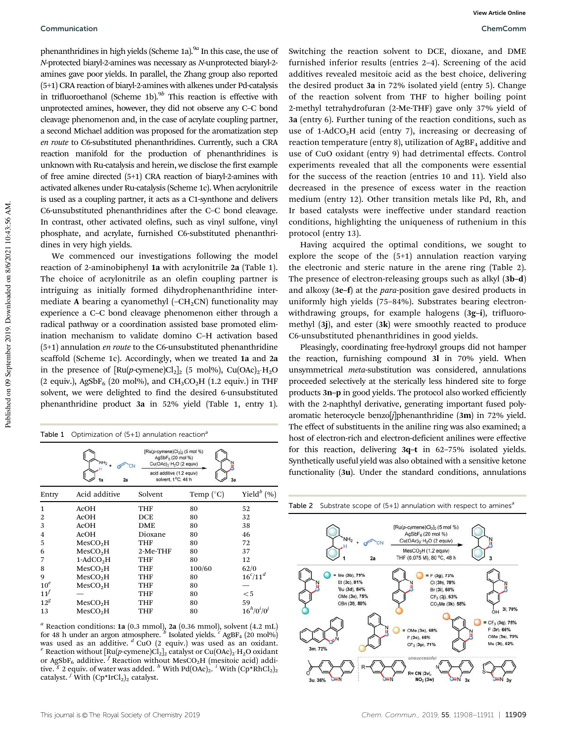phenanthridines in high yields (Scheme 1a).<sup>9*a*</sup> In this case, the use of *N*-protected biaryl-2-amines was necessary as *N*-unprotected biaryl-2 amines gave poor yields. In parallel, the Zhang group also reported (5+1) CRA reaction of biaryl-2-amines with alkenes under Pd-catalysis in trifluoroethanol (Scheme 1b).<sup>9*b*</sup> This reaction is effective with unprotected amines, however, they did not observe any C–C bond cleavage phenomenon and, in the case of acrylate coupling partner, a second Michael addition was proposed for the aromatization step *en route* to C6-substituted phenanthridines. Currently, such a CRA reaction manifold for the production of phenanthridines is unknown with Ru-catalysis and herein, we disclose the first example of free amine directed (5+1) CRA reaction of biaryl-2-amines with activated alkenes under Ru-catalysis (Scheme 1c). When acrylonitrile is used as a coupling partner, it acts as a C1-synthone and delivers C6-unsubstituted phenanthridines after the C–C bond cleavage. In contrast, other activated olefins, such as vinyl sulfone, vinyl phosphate, and acrylate, furnished C6-substituted phenanthridines in very high yields.

We commenced our investigations following the model reaction of 2-aminobiphenyl 1a with acrylonitrile 2a (Table 1). The choice of acrylonitrile as an olefin coupling partner is intriguing as initially formed dihydrophenanthridine intermediate A bearing a cyanomethyl  $(-CH<sub>2</sub>CN)$  functionality may experience a C–C bond cleavage phenomenon either through a radical pathway or a coordination assisted base promoted elimination mechanism to validate domino C–H activation based (5+1) annulation *en route* to the C6-unsubstituted phenanthridine scaffold (Scheme 1c). Accordingly, when we treated 1a and 2a in the presence of  $\left[\text{Ru}(p\text{-cymene})\text{Cl}_2\right]_2$  (5 mol%), Cu $\left(\text{OAc}\right)_2\text{-H}_2\text{O}$ (2 equiv.), AgSbF<sub>6</sub> (20 mol%), and CH<sub>3</sub>CO<sub>2</sub>H (1.2 equiv.) in THF solvent, we were delighted to find the desired 6-unsubstituted phenanthridine product 3a in 52% yield (Table 1, entry 1).

| Table 1 | Optimization of $(5+1)$ annulation reaction <sup>a</sup> |                                                                                                                                                                                     |                    |                      |
|---------|----------------------------------------------------------|-------------------------------------------------------------------------------------------------------------------------------------------------------------------------------------|--------------------|----------------------|
|         |                                                          | $[Ru(p-cymene)Cl2]2$ (5 mol %)<br>AgSbF <sub>B</sub> (20 mol %)<br>Cu(OAc) <sub>2</sub> -H <sub>2</sub> O (2 equiv)<br>acid additive (1.2 equiv)<br>solvent, t °C, 48 h<br>2a<br>3а |                    |                      |
|         |                                                          |                                                                                                                                                                                     |                    |                      |
| Entry   | Acid additive                                            | Solvent                                                                                                                                                                             | Temp $(^{\circ}C)$ | Yield $^b$ (%)       |
| 1       | AcOH                                                     | THF                                                                                                                                                                                 | 80                 | 52                   |
| 2       | ACOH                                                     | DCE                                                                                                                                                                                 | 80                 | 32                   |
| 3       | ACOH                                                     | <b>DME</b>                                                                                                                                                                          | 80                 | 38                   |
| 4       | ACOH                                                     | Dioxane                                                                                                                                                                             | 80                 | 46                   |
| 5       | MesCO <sub>2</sub> H                                     | THF                                                                                                                                                                                 | 80                 | 72                   |
| 6       | MesCO <sub>2</sub> H                                     | 2-Me-THF                                                                                                                                                                            | 80                 | 37                   |
| 7       | $1-\text{AdCO}_2H$                                       | THF                                                                                                                                                                                 | 80                 | 12                   |
| 8       | MesCO <sub>2</sub> H                                     | THF                                                                                                                                                                                 | 100/60             | 62/0                 |
| 9       | MesCO <sub>2</sub> H                                     | THF                                                                                                                                                                                 | 80                 | $16^{c}/11^{d}$      |
| $10^e$  | MesCO <sub>2</sub> H                                     | THF                                                                                                                                                                                 | 80                 |                      |
| $11^f$  |                                                          | THF                                                                                                                                                                                 | 80                 | $<$ 5                |
| $12^g$  | MesCO <sub>2</sub> H                                     | THF                                                                                                                                                                                 | 80                 | 59                   |
| 13      | MesCO <sub>2</sub> H                                     | THF                                                                                                                                                                                 | 80                 | $16^{h}/0^{i}/0^{j}$ |

 $a$  Reaction conditions: 1a (0.3 mmol), 2a (0.36 mmol), solvent (4.2 mL) for 48 h under an argon atmosphere. <sup>*b*</sup> Isolated yields. <sup>*c*</sup> AgBF<sub>4</sub> (20 mol%) was used as an additive. *<sup>d</sup>* CuO (2 equiv.) was used as an oxidant. <sup>e</sup> Reaction without [Ru(p-cymene)Cl<sub>2</sub>]<sub>2</sub> catalyst or Cu(OAc)<sub>2</sub>·H<sub>2</sub>O oxidant or AgSbF<sub>6</sub> additive. <sup>*f*</sup> Reaction without MesCO<sub>2</sub>H (mesitoic acid) additive. <sup>g</sup> 2 equiv. of water was added. <sup>h</sup> With Pd(OAc)<sub>2</sub>. <sup>i</sup> With (Cp\*RhCl<sub>2</sub>)<sub>2</sub> catalyst. <sup>*j*</sup> With  $(Cp*IrCl<sub>2</sub>)<sub>2</sub>$  catalyst.

Switching the reaction solvent to DCE, dioxane, and DME furnished inferior results (entries 2–4). Screening of the acid additives revealed mesitoic acid as the best choice, delivering the desired product 3a in 72% isolated yield (entry 5). Change of the reaction solvent from THF to higher boiling point 2-methyl tetrahydrofuran (2-Me-THF) gave only 37% yield of 3a (entry 6). Further tuning of the reaction conditions, such as use of 1-AdCO<sub>2</sub>H acid (entry 7), increasing or decreasing of reaction temperature (entry 8), utilization of  $AgBF<sub>4</sub>$  additive and use of CuO oxidant (entry 9) had detrimental effects. Control experiments revealed that all the components were essential for the success of the reaction (entries 10 and 11). Yield also decreased in the presence of excess water in the reaction medium (entry 12). Other transition metals like Pd, Rh, and Ir based catalysts were ineffective under standard reaction conditions, highlighting the uniqueness of ruthenium in this protocol (entry 13).

Having acquired the optimal conditions, we sought to explore the scope of the (5+1) annulation reaction varying the electronic and steric nature in the arene ring (Table 2). The presence of electron-releasing groups such as alkyl (3b–d) and alkoxy (3e–f) at the *para*-position gave desired products in uniformly high yields (75–84%). Substrates bearing electronwithdrawing groups, for example halogens (3g–i), trifluoromethyl (3j), and ester (3k) were smoothly reacted to produce C6-unsubstituted phenanthridines in good yields.

Pleasingly, coordinating free-hydroxyl groups did not hamper the reaction, furnishing compound 3l in 70% yield. When unsymmetrical *meta*-substitution was considered, annulations proceeded selectively at the sterically less hindered site to forge products 3n–p in good yields. The protocol also worked efficiently with the 2-naphthyl derivative, generating important fused polyaromatic heterocycle benzo[*j*]phenanthridine (3m) in 72% yield. The effect of substituents in the aniline ring was also examined; a host of electron-rich and electron-deficient anilines were effective for this reaction, delivering 3q–t in 62–75% isolated yields. Synthetically useful yield was also obtained with a sensitive ketone functionality (3u). Under the standard conditions, annulations

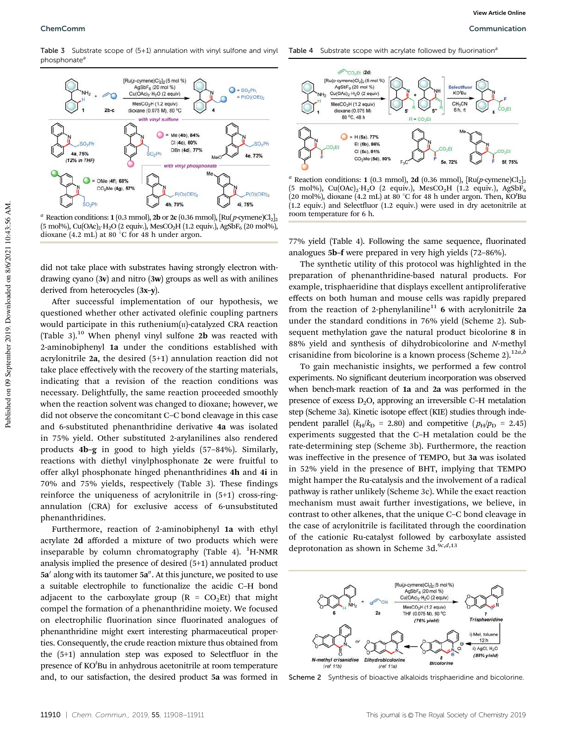Table 3 Substrate scope of (5+1) annulation with vinyl sulfone and vinyl phosphonate<sup>a</sup>



<sup>*a*</sup> Reaction conditions: **1** (0.3 mmol), **2b** or **2c** (0.36 mmol),  $\left[\text{Ru}(p\text{-symene})\text{Cl}_2\right]_2$  $(5 \text{ mol}), \text{ Cu(OAc)}_2 \cdot \text{H}_2\text{O}$  (2 equiv.), MesCO<sub>2</sub>H (1.2 equiv.), AgSDF<sub>6</sub> (20 mol%), dioxane  $(4.2 \text{ mL})$  at 80 °C for 48 h under argon.

did not take place with substrates having strongly electron withdrawing cyano  $(3v)$  and nitro  $(3w)$  groups as well as with anilines derived from heterocycles (3x–y).

After successful implementation of our hypothesis, we questioned whether other activated olefinic coupling partners would participate in this ruthenium $(n)$ -catalyzed CRA reaction (Table 3).<sup>10</sup> When phenyl vinyl sulfone 2**b** was reacted with 2-aminobiphenyl 1a under the conditions established with acrylonitrile 2a, the desired (5+1) annulation reaction did not take place effectively with the recovery of the starting materials, indicating that a revision of the reaction conditions was necessary. Delightfully, the same reaction proceeded smoothly when the reaction solvent was changed to dioxane; however, we did not observe the concomitant C–C bond cleavage in this case and 6-substituted phenanthridine derivative 4a was isolated in 75% yield. Other substituted 2-arylanilines also rendered products 4b–g in good to high yields (57–84%). Similarly, reactions with diethyl vinylphosphonate 2c were fruitful to offer alkyl phosphonate hinged phenanthridines 4h and 4i in 70% and 75% yields, respectively (Table 3). These findings reinforce the uniqueness of acrylonitrile in (5+1) cross-ringannulation (CRA) for exclusive access of 6-unsubstituted phenanthridines.

Furthermore, reaction of 2-aminobiphenyl 1a with ethyl acrylate 2d afforded a mixture of two products which were inseparable by column chromatography (Table 4).  ${}^{1}$ H-NMR analysis implied the presence of desired (5+1) annulated product 5a' along with its tautomer 5a". At this juncture, we posited to use a suitable electrophile to functionalize the acidic C–H bond adjacent to the carboxylate group  $(R = CO<sub>2</sub>Et)$  that might compel the formation of a phenanthridine moiety. We focused on electrophilic fluorination since fluorinated analogues of phenanthridine might exert interesting pharmaceutical properties. Consequently, the crude reaction mixture thus obtained from the (5+1) annulation step was exposed to Selectfluor in the presence of KO*<sup>t</sup>* Bu in anhydrous acetonitrile at room temperature and, to our satisfaction, the desired product 5a was formed in Table 4 Substrate scope with acrylate followed by fluorination<sup>a</sup>



<sup>*a*</sup> Reaction conditions: 1 (0.3 mmol), 2d (0.36 mmol),  $\left[\text{Ru}(p\text{-cymene})\text{Cl}_2\right]_2$ (5 mol%), Cu(OAc)<sub>2</sub>·H<sub>2</sub>O (2 equiv.), MesCO<sub>2</sub>H (1.2 equiv.), AgSbF<sub>6</sub> (20 mol%), dioxane (4.2 mL) at 80 °C for 48 h under argon. Then, KO'Bu (1.2 equiv.) and Selectfluor (1.2 equiv.) were used in dry acetonitrile at room temperature for 6 h.

77% yield (Table 4). Following the same sequence, fluorinated analogues 5b–f were prepared in very high yields (72–86%).

The synthetic utility of this protocol was highlighted in the preparation of phenanthridine-based natural products. For example, trisphaeridine that displays excellent antiproliferative effects on both human and mouse cells was rapidly prepared from the reaction of 2-phenylaniline<sup>11</sup> 6 with acrylonitrile 2a under the standard conditions in 76% yield (Scheme 2). Subsequent methylation gave the natural product bicolorine 8 in 88% yield and synthesis of dihydrobicolorine and *N*-methyl crisanidine from bicolorine is a known process (Scheme 2).12*a*,*<sup>b</sup>*

To gain mechanistic insights, we performed a few control experiments. No significant deuterium incorporation was observed when bench-mark reaction of 1a and 2a was performed in the presence of excess  $D_2O$ , approving an irreversible C–H metalation step (Scheme 3a). Kinetic isotope effect (KIE) studies through independent parallel  $(k_H/k_D = 2.80)$  and competitive  $(p_H/p_D = 2.45)$ experiments suggested that the C–H metalation could be the rate-determining step (Scheme 3b). Furthermore, the reaction was ineffective in the presence of TEMPO, but 3a was isolated in 52% yield in the presence of BHT, implying that TEMPO might hamper the Ru-catalysis and the involvement of a radical pathway is rather unlikely (Scheme 3c). While the exact reaction mechanism must await further investigations, we believe, in contrast to other alkenes, that the unique C–C bond cleavage in the case of acrylonitrile is facilitated through the coordination of the cationic Ru-catalyst followed by carboxylate assisted deprotonation as shown in Scheme 3d.9*c*,*d*,13



Scheme 2 Synthesis of bioactive alkaloids trisphaeridine and bicolorine.